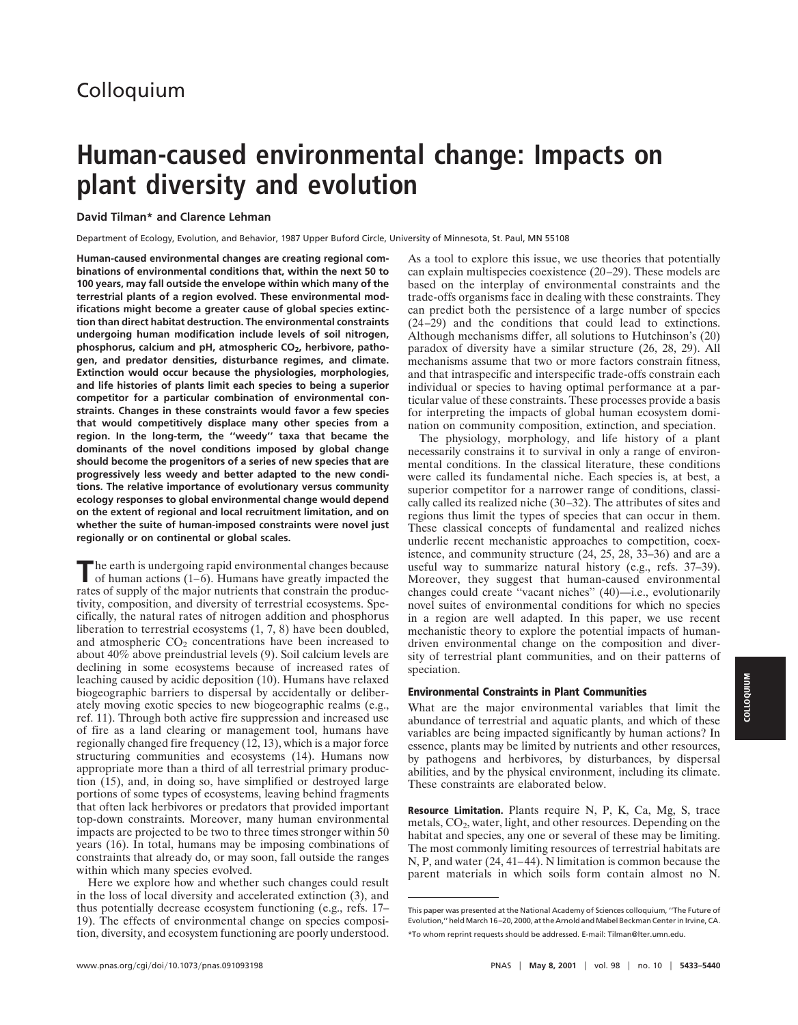## **Colloquium**

# **Human-caused environmental change: Impacts on plant diversity and evolution**

### **David Tilman\* and Clarence Lehman**

Department of Ecology, Evolution, and Behavior, 1987 Upper Buford Circle, University of Minnesota, St. Paul, MN 55108

**Human-caused environmental changes are creating regional combinations of environmental conditions that, within the next 50 to 100 years, may fall outside the envelope within which many of the terrestrial plants of a region evolved. These environmental modifications might become a greater cause of global species extinction than direct habitat destruction. The environmental constraints undergoing human modification include levels of soil nitrogen,** phosphorus, calcium and pH, atmospheric CO<sub>2</sub>, herbivore, patho**gen, and predator densities, disturbance regimes, and climate. Extinction would occur because the physiologies, morphologies, and life histories of plants limit each species to being a superior competitor for a particular combination of environmental constraints. Changes in these constraints would favor a few species that would competitively displace many other species from a region. In the long-term, the ''weedy'' taxa that became the dominants of the novel conditions imposed by global change should become the progenitors of a series of new species that are progressively less weedy and better adapted to the new conditions. The relative importance of evolutionary versus community ecology responses to global environmental change would depend on the extent of regional and local recruitment limitation, and on whether the suite of human-imposed constraints were novel just regionally or on continental or global scales.**

The earth is undergoing rapid environmental changes because<br>of human actions (1.6) II of human actions (1–6). Humans have greatly impacted the rates of supply of the major nutrients that constrain the productivity, composition, and diversity of terrestrial ecosystems. Specifically, the natural rates of nitrogen addition and phosphorus liberation to terrestrial ecosystems (1, 7, 8) have been doubled, and atmospheric  $CO<sub>2</sub>$  concentrations have been increased to about 40% above preindustrial levels (9). Soil calcium levels are declining in some ecosystems because of increased rates of leaching caused by acidic deposition (10). Humans have relaxed biogeographic barriers to dispersal by accidentally or deliberately moving exotic species to new biogeographic realms (e.g., ref. 11). Through both active fire suppression and increased use of fire as a land clearing or management tool, humans have regionally changed fire frequency (12, 13), which is a major force structuring communities and ecosystems (14). Humans now appropriate more than a third of all terrestrial primary production (15), and, in doing so, have simplified or destroyed large portions of some types of ecosystems, leaving behind fragments that often lack herbivores or predators that provided important top-down constraints. Moreover, many human environmental impacts are projected to be two to three times stronger within 50 years (16). In total, humans may be imposing combinations of constraints that already do, or may soon, fall outside the ranges within which many species evolved.

Here we explore how and whether such changes could result in the loss of local diversity and accelerated extinction (3), and thus potentially decrease ecosystem functioning (e.g., refs. 17– 19). The effects of environmental change on species composition, diversity, and ecosystem functioning are poorly understood. As a tool to explore this issue, we use theories that potentially can explain multispecies coexistence (20–29). These models are based on the interplay of environmental constraints and the trade-offs organisms face in dealing with these constraints. They can predict both the persistence of a large number of species (24–29) and the conditions that could lead to extinctions. Although mechanisms differ, all solutions to Hutchinson's (20) paradox of diversity have a similar structure (26, 28, 29). All mechanisms assume that two or more factors constrain fitness, and that intraspecific and interspecific trade-offs constrain each individual or species to having optimal performance at a particular value of these constraints. These processes provide a basis for interpreting the impacts of global human ecosystem domination on community composition, extinction, and speciation.

The physiology, morphology, and life history of a plant necessarily constrains it to survival in only a range of environmental conditions. In the classical literature, these conditions were called its fundamental niche. Each species is, at best, a superior competitor for a narrower range of conditions, classically called its realized niche (30–32). The attributes of sites and regions thus limit the types of species that can occur in them. These classical concepts of fundamental and realized niches underlie recent mechanistic approaches to competition, coexistence, and community structure (24, 25, 28, 33–36) and are a useful way to summarize natural history (e.g., refs. 37–39). Moreover, they suggest that human-caused environmental changes could create ''vacant niches'' (40)—i.e., evolutionarily novel suites of environmental conditions for which no species in a region are well adapted. In this paper, we use recent mechanistic theory to explore the potential impacts of humandriven environmental change on the composition and diversity of terrestrial plant communities, and on their patterns of speciation.

#### **Environmental Constraints in Plant Communities**

What are the major environmental variables that limit the abundance of terrestrial and aquatic plants, and which of these variables are being impacted significantly by human actions? In essence, plants may be limited by nutrients and other resources, by pathogens and herbivores, by disturbances, by dispersal abilities, and by the physical environment, including its climate. These constraints are elaborated below.

**Resource Limitation.** Plants require N, P, K, Ca, Mg, S, trace metals,  $CO<sub>2</sub>$ , water, light, and other resources. Depending on the habitat and species, any one or several of these may be limiting. The most commonly limiting resources of terrestrial habitats are N, P, and water (24, 41–44). N limitation is common because the parent materials in which soils form contain almost no N.

This paper was presented at the National Academy of Sciences colloquium, ''The Future of Evolution,'' held March 16–20, 2000, at the Arnold and Mabel Beckman Center in Irvine, CA. \*To whom reprint requests should be addressed. E-mail: Tilman@lter.umn.edu.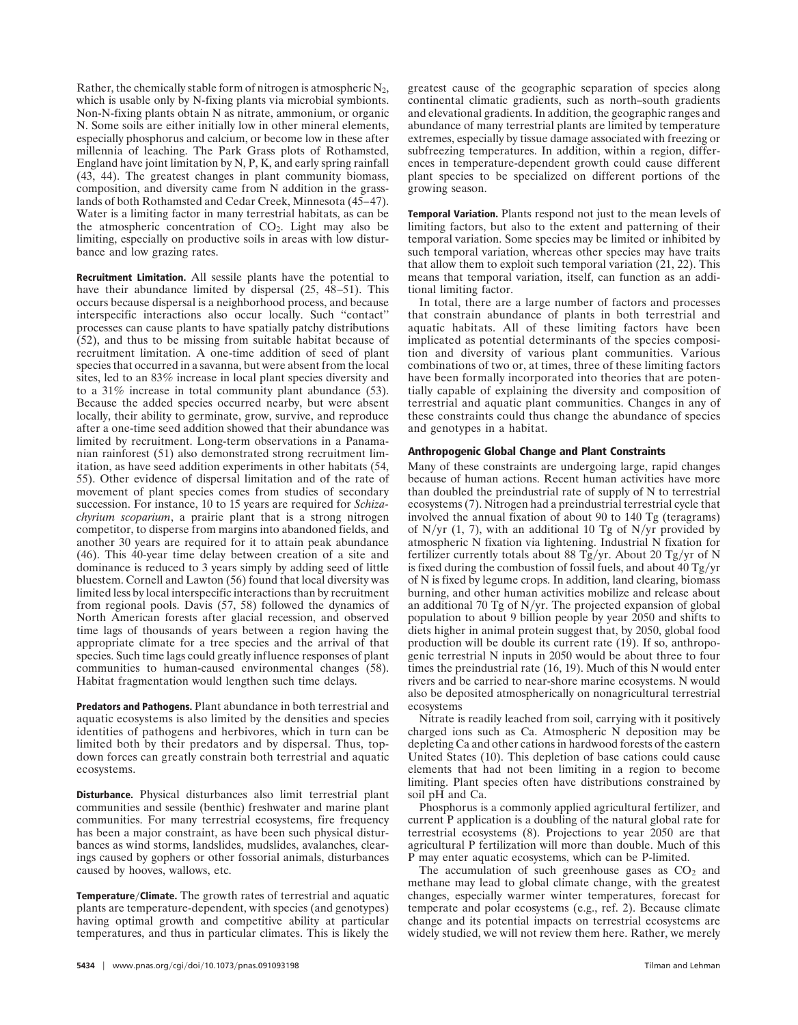Rather, the chemically stable form of nitrogen is atmospheric  $N_2$ , which is usable only by N-fixing plants via microbial symbionts. Non-N-fixing plants obtain N as nitrate, ammonium, or organic N. Some soils are either initially low in other mineral elements, especially phosphorus and calcium, or become low in these after millennia of leaching. The Park Grass plots of Rothamsted, England have joint limitation by N, P, K, and early spring rainfall (43, 44). The greatest changes in plant community biomass, composition, and diversity came from N addition in the grasslands of both Rothamsted and Cedar Creek, Minnesota (45–47). Water is a limiting factor in many terrestrial habitats, as can be the atmospheric concentration of  $CO<sub>2</sub>$ . Light may also be limiting, especially on productive soils in areas with low disturbance and low grazing rates.

**Recruitment Limitation.** All sessile plants have the potential to have their abundance limited by dispersal  $(25, 48-51)$ . This occurs because dispersal is a neighborhood process, and because interspecific interactions also occur locally. Such ''contact'' processes can cause plants to have spatially patchy distributions (52), and thus to be missing from suitable habitat because of recruitment limitation. A one-time addition of seed of plant species that occurred in a savanna, but were absent from the local sites, led to an 83% increase in local plant species diversity and to a 31% increase in total community plant abundance (53). Because the added species occurred nearby, but were absent locally, their ability to germinate, grow, survive, and reproduce after a one-time seed addition showed that their abundance was limited by recruitment. Long-term observations in a Panamanian rainforest (51) also demonstrated strong recruitment limitation, as have seed addition experiments in other habitats (54, 55). Other evidence of dispersal limitation and of the rate of movement of plant species comes from studies of secondary succession. For instance, 10 to 15 years are required for *Schizachyrium scoparium*, a prairie plant that is a strong nitrogen competitor, to disperse from margins into abandoned fields, and another 30 years are required for it to attain peak abundance (46). This 40-year time delay between creation of a site and dominance is reduced to 3 years simply by adding seed of little bluestem. Cornell and Lawton (56) found that local diversity was limited less by local interspecific interactions than by recruitment from regional pools. Davis (57, 58) followed the dynamics of North American forests after glacial recession, and observed time lags of thousands of years between a region having the appropriate climate for a tree species and the arrival of that species. Such time lags could greatly influence responses of plant communities to human-caused environmental changes (58). Habitat fragmentation would lengthen such time delays.

**Predators and Pathogens.** Plant abundance in both terrestrial and aquatic ecosystems is also limited by the densities and species identities of pathogens and herbivores, which in turn can be limited both by their predators and by dispersal. Thus, topdown forces can greatly constrain both terrestrial and aquatic ecosystems.

**Disturbance.** Physical disturbances also limit terrestrial plant communities and sessile (benthic) freshwater and marine plant communities. For many terrestrial ecosystems, fire frequency has been a major constraint, as have been such physical disturbances as wind storms, landslides, mudslides, avalanches, clearings caused by gophers or other fossorial animals, disturbances caused by hooves, wallows, etc.

**Temperature/Climate.** The growth rates of terrestrial and aquatic plants are temperature-dependent, with species (and genotypes) having optimal growth and competitive ability at particular temperatures, and thus in particular climates. This is likely the greatest cause of the geographic separation of species along continental climatic gradients, such as north–south gradients and elevational gradients. In addition, the geographic ranges and abundance of many terrestrial plants are limited by temperature extremes, especially by tissue damage associated with freezing or subfreezing temperatures. In addition, within a region, differences in temperature-dependent growth could cause different plant species to be specialized on different portions of the growing season.

**Temporal Variation.** Plants respond not just to the mean levels of limiting factors, but also to the extent and patterning of their temporal variation. Some species may be limited or inhibited by such temporal variation, whereas other species may have traits that allow them to exploit such temporal variation (21, 22). This means that temporal variation, itself, can function as an additional limiting factor.

In total, there are a large number of factors and processes that constrain abundance of plants in both terrestrial and aquatic habitats. All of these limiting factors have been implicated as potential determinants of the species composition and diversity of various plant communities. Various combinations of two or, at times, three of these limiting factors have been formally incorporated into theories that are potentially capable of explaining the diversity and composition of terrestrial and aquatic plant communities. Changes in any of these constraints could thus change the abundance of species and genotypes in a habitat.

#### **Anthropogenic Global Change and Plant Constraints**

Many of these constraints are undergoing large, rapid changes because of human actions. Recent human activities have more than doubled the preindustrial rate of supply of N to terrestrial ecosystems (7). Nitrogen had a preindustrial terrestrial cycle that involved the annual fixation of about 90 to 140 Tg (teragrams) of N/yr  $(1, 7)$ , with an additional 10 Tg of N/yr provided by atmospheric N fixation via lightening. Industrial N fixation for fertilizer currently totals about 88 Tg/yr. About 20 Tg/yr of N is fixed during the combustion of fossil fuels, and about  $40 \text{ Tg/yr}$ of N is fixed by legume crops. In addition, land clearing, biomass burning, and other human activities mobilize and release about an additional 70 Tg of N/yr. The projected expansion of global population to about 9 billion people by year 2050 and shifts to diets higher in animal protein suggest that, by 2050, global food production will be double its current rate (19). If so, anthropogenic terrestrial N inputs in 2050 would be about three to four times the preindustrial rate (16, 19). Much of this N would enter rivers and be carried to near-shore marine ecosystems. N would also be deposited atmospherically on nonagricultural terrestrial ecosystems

Nitrate is readily leached from soil, carrying with it positively charged ions such as Ca. Atmospheric N deposition may be depleting Ca and other cations in hardwood forests of the eastern United States (10). This depletion of base cations could cause elements that had not been limiting in a region to become limiting. Plant species often have distributions constrained by soil pH and Ca.

Phosphorus is a commonly applied agricultural fertilizer, and current P application is a doubling of the natural global rate for terrestrial ecosystems (8). Projections to year 2050 are that agricultural P fertilization will more than double. Much of this P may enter aquatic ecosystems, which can be P-limited.

The accumulation of such greenhouse gases as  $CO<sub>2</sub>$  and methane may lead to global climate change, with the greatest changes, especially warmer winter temperatures, forecast for temperate and polar ecosystems (e.g., ref. 2). Because climate change and its potential impacts on terrestrial ecosystems are widely studied, we will not review them here. Rather, we merely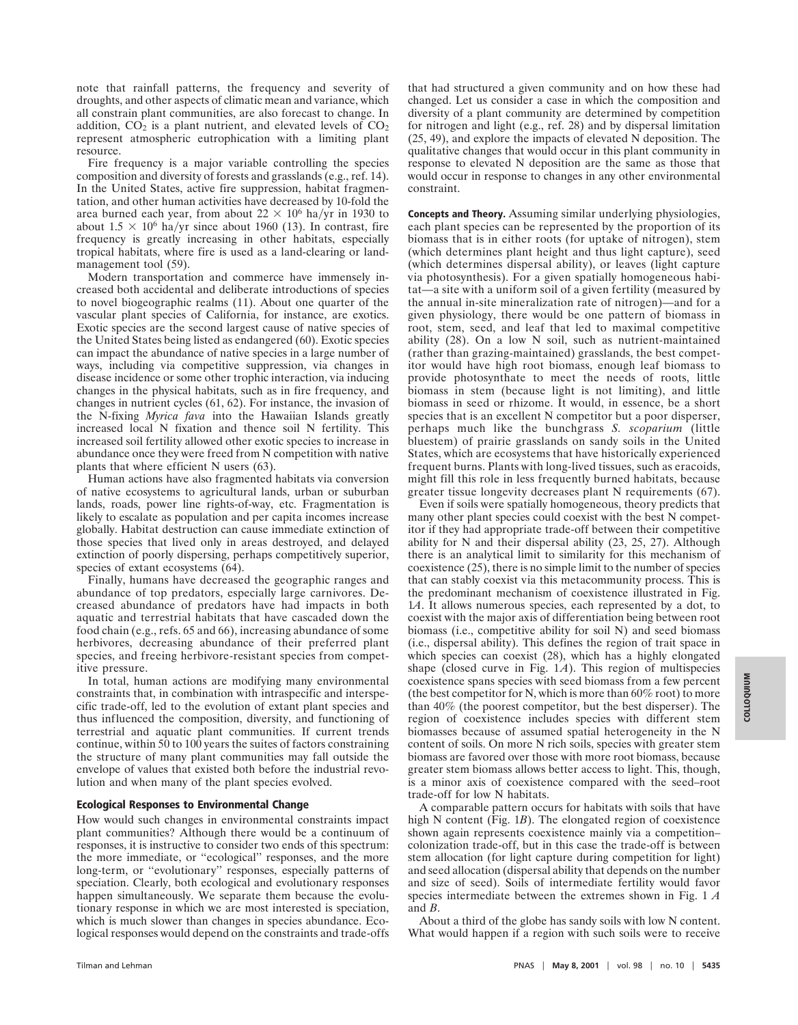note that rainfall patterns, the frequency and severity of droughts, and other aspects of climatic mean and variance, which all constrain plant communities, are also forecast to change. In addition,  $CO<sub>2</sub>$  is a plant nutrient, and elevated levels of  $CO<sub>2</sub>$ represent atmospheric eutrophication with a limiting plant resource.

Fire frequency is a major variable controlling the species composition and diversity of forests and grasslands (e.g., ref. 14). In the United States, active fire suppression, habitat fragmentation, and other human activities have decreased by 10-fold the area burned each year, from about  $22 \times 10^6$  ha/yr in 1930 to about  $1.5 \times 10^6$  ha/yr since about 1960 (13). In contrast, fire frequency is greatly increasing in other habitats, especially tropical habitats, where fire is used as a land-clearing or landmanagement tool  $(59)$ .

Modern transportation and commerce have immensely increased both accidental and deliberate introductions of species to novel biogeographic realms (11). About one quarter of the vascular plant species of California, for instance, are exotics. Exotic species are the second largest cause of native species of the United States being listed as endangered (60). Exotic species can impact the abundance of native species in a large number of ways, including via competitive suppression, via changes in disease incidence or some other trophic interaction, via inducing changes in the physical habitats, such as in fire frequency, and changes in nutrient cycles (61, 62). For instance, the invasion of the N-fixing *Myrica fava* into the Hawaiian Islands greatly increased local N fixation and thence soil N fertility. This increased soil fertility allowed other exotic species to increase in abundance once they were freed from N competition with native plants that where efficient N users (63).

Human actions have also fragmented habitats via conversion of native ecosystems to agricultural lands, urban or suburban lands, roads, power line rights-of-way, etc. Fragmentation is likely to escalate as population and per capita incomes increase globally. Habitat destruction can cause immediate extinction of those species that lived only in areas destroyed, and delayed extinction of poorly dispersing, perhaps competitively superior, species of extant ecosystems  $(64)$ .

Finally, humans have decreased the geographic ranges and abundance of top predators, especially large carnivores. Decreased abundance of predators have had impacts in both aquatic and terrestrial habitats that have cascaded down the food chain (e.g., refs. 65 and 66), increasing abundance of some herbivores, decreasing abundance of their preferred plant species, and freeing herbivore-resistant species from competitive pressure.

In total, human actions are modifying many environmental constraints that, in combination with intraspecific and interspecific trade-off, led to the evolution of extant plant species and thus influenced the composition, diversity, and functioning of terrestrial and aquatic plant communities. If current trends continue, within  $50$  to  $100$  years the suites of factors constraining the structure of many plant communities may fall outside the envelope of values that existed both before the industrial revolution and when many of the plant species evolved.

#### **Ecological Responses to Environmental Change**

How would such changes in environmental constraints impact plant communities? Although there would be a continuum of responses, it is instructive to consider two ends of this spectrum: the more immediate, or ''ecological'' responses, and the more long-term, or ''evolutionary'' responses, especially patterns of speciation. Clearly, both ecological and evolutionary responses happen simultaneously. We separate them because the evolutionary response in which we are most interested is speciation, which is much slower than changes in species abundance. Ecological responses would depend on the constraints and trade-offs that had structured a given community and on how these had changed. Let us consider a case in which the composition and diversity of a plant community are determined by competition for nitrogen and light (e.g., ref. 28) and by dispersal limitation (25, 49), and explore the impacts of elevated N deposition. The qualitative changes that would occur in this plant community in response to elevated N deposition are the same as those that would occur in response to changes in any other environmental constraint.

**Concepts and Theory.** Assuming similar underlying physiologies, each plant species can be represented by the proportion of its biomass that is in either roots (for uptake of nitrogen), stem (which determines plant height and thus light capture), seed (which determines dispersal ability), or leaves (light capture via photosynthesis). For a given spatially homogeneous habitat—a site with a uniform soil of a given fertility (measured by the annual in-site mineralization rate of nitrogen)—and for a given physiology, there would be one pattern of biomass in root, stem, seed, and leaf that led to maximal competitive ability (28). On a low N soil, such as nutrient-maintained (rather than grazing-maintained) grasslands, the best competitor would have high root biomass, enough leaf biomass to provide photosynthate to meet the needs of roots, little biomass in stem (because light is not limiting), and little biomass in seed or rhizome. It would, in essence, be a short species that is an excellent N competitor but a poor disperser, perhaps much like the bunchgrass *S. scoparium* (little bluestem) of prairie grasslands on sandy soils in the United States, which are ecosystems that have historically experienced frequent burns. Plants with long-lived tissues, such as eracoids, might fill this role in less frequently burned habitats, because greater tissue longevity decreases plant N requirements (67).

Even if soils were spatially homogeneous, theory predicts that many other plant species could coexist with the best N competitor if they had appropriate trade-off between their competitive ability for N and their dispersal ability (23, 25, 27). Although there is an analytical limit to similarity for this mechanism of coexistence (25), there is no simple limit to the number of species that can stably coexist via this metacommunity process. This is the predominant mechanism of coexistence illustrated in Fig. 1*A*. It allows numerous species, each represented by a dot, to coexist with the major axis of differentiation being between root biomass (i.e., competitive ability for soil N) and seed biomass (i.e., dispersal ability). This defines the region of trait space in which species can coexist (28), which has a highly elongated shape (closed curve in Fig. 1*A*). This region of multispecies coexistence spans species with seed biomass from a few percent (the best competitor for N, which is more than  $60\%$  root) to more than 40% (the poorest competitor, but the best disperser). The region of coexistence includes species with different stem biomasses because of assumed spatial heterogeneity in the N content of soils. On more N rich soils, species with greater stem biomass are favored over those with more root biomass, because greater stem biomass allows better access to light. This, though, is a minor axis of coexistence compared with the seed–root trade-off for low N habitats.

A comparable pattern occurs for habitats with soils that have high N content (Fig. 1*B*). The elongated region of coexistence shown again represents coexistence mainly via a competition– colonization trade-off, but in this case the trade-off is between stem allocation (for light capture during competition for light) and seed allocation (dispersal ability that depends on the number and size of seed). Soils of intermediate fertility would favor species intermediate between the extremes shown in Fig. 1 *A* and *B*.

About a third of the globe has sandy soils with low N content. What would happen if a region with such soils were to receive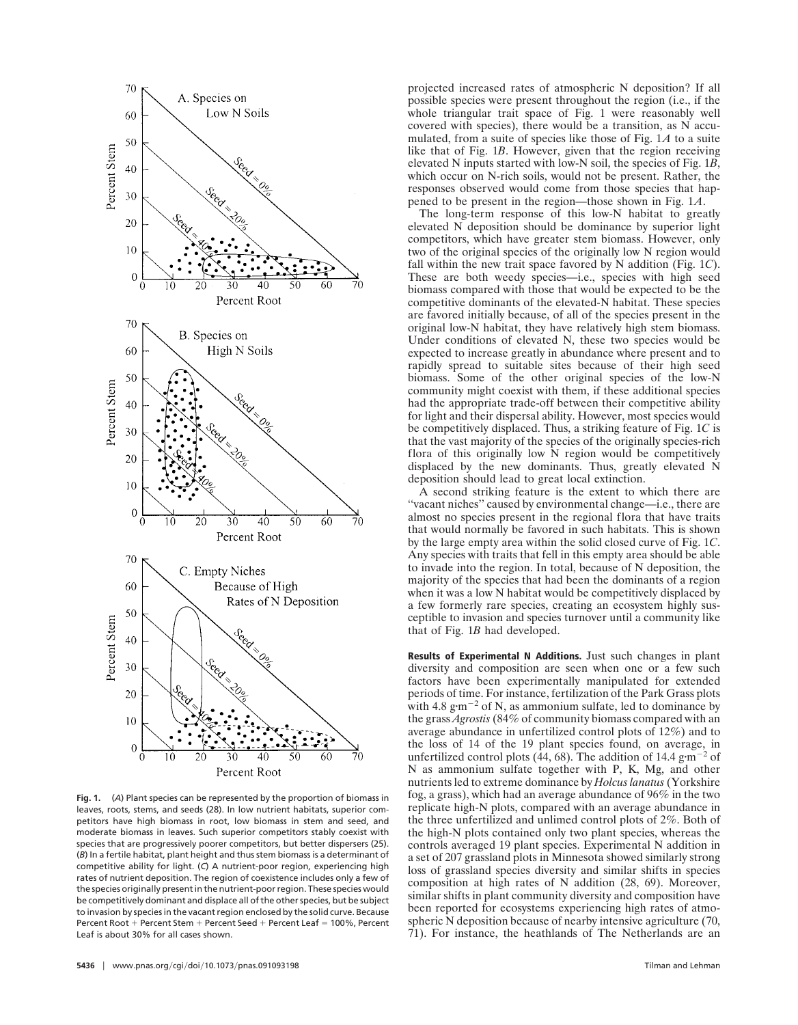

**Fig. 1.** (*A*) Plant species can be represented by the proportion of biomass in leaves, roots, stems, and seeds (28). In low nutrient habitats, superior competitors have high biomass in root, low biomass in stem and seed, and moderate biomass in leaves. Such superior competitors stably coexist with species that are progressively poorer competitors, but better dispersers (25). (*B*) In a fertile habitat, plant height and thus stem biomass is a determinant of competitive ability for light. (*C*) A nutrient-poor region, experiencing high rates of nutrient deposition. The region of coexistence includes only a few of the species originally present in the nutrient-poor region. These species would be competitively dominant and displace all of the other species, but be subject to invasion by species in the vacant region enclosed by the solid curve. Because Percent Root + Percent Stem + Percent Seed + Percent Leaf =  $100\%$ , Percent Leaf is about 30% for all cases shown.

projected increased rates of atmospheric N deposition? If all possible species were present throughout the region (i.e., if the whole triangular trait space of Fig. 1 were reasonably well covered with species), there would be a transition, as N accumulated, from a suite of species like those of Fig. 1*A* to a suite like that of Fig. 1*B*. However, given that the region receiving elevated N inputs started with low-N soil, the species of Fig. 1*B*, which occur on N-rich soils, would not be present. Rather, the responses observed would come from those species that happened to be present in the region—those shown in Fig. 1*A*.

The long-term response of this low-N habitat to greatly elevated N deposition should be dominance by superior light competitors, which have greater stem biomass. However, only two of the original species of the originally low N region would fall within the new trait space favored by N addition (Fig. 1*C*). These are both weedy species—i.e., species with high seed biomass compared with those that would be expected to be the competitive dominants of the elevated-N habitat. These species are favored initially because, of all of the species present in the original low-N habitat, they have relatively high stem biomass. Under conditions of elevated N, these two species would be expected to increase greatly in abundance where present and to rapidly spread to suitable sites because of their high seed biomass. Some of the other original species of the low-N community might coexist with them, if these additional species had the appropriate trade-off between their competitive ability for light and their dispersal ability. However, most species would be competitively displaced. Thus, a striking feature of Fig. 1*C* is that the vast majority of the species of the originally species-rich flora of this originally low N region would be competitively displaced by the new dominants. Thus, greatly elevated N deposition should lead to great local extinction.

A second striking feature is the extent to which there are ''vacant niches'' caused by environmental change—i.e., there are almost no species present in the regional flora that have traits that would normally be favored in such habitats. This is shown by the large empty area within the solid closed curve of Fig. 1*C*. Any species with traits that fell in this empty area should be able to invade into the region. In total, because of N deposition, the majority of the species that had been the dominants of a region when it was a low N habitat would be competitively displaced by a few formerly rare species, creating an ecosystem highly susceptible to invasion and species turnover until a community like that of Fig. 1*B* had developed.

**Results of Experimental N Additions.** Just such changes in plant diversity and composition are seen when one or a few such factors have been experimentally manipulated for extended periods of time. For instance, fertilization of the Park Grass plots with 4.8 g·m<sup> $-2$ </sup> of N, as ammonium sulfate, led to dominance by the grass *Agrostis* (84% of community biomass compared with an average abundance in unfertilized control plots of 12%) and to the loss of 14 of the 19 plant species found, on average, in unfertilized control plots (44, 68). The addition of 14.4  $\text{g} \cdot \text{m}^{-2}$  of N as ammonium sulfate together with P, K, Mg, and other nutrients led to extreme dominance by *Holcus lanatus*(Yorkshire fog, a grass), which had an average abundance of 96% in the two replicate high-N plots, compared with an average abundance in the three unfertilized and unlimed control plots of 2%. Both of the high-N plots contained only two plant species, whereas the controls averaged 19 plant species. Experimental N addition in a set of 207 grassland plots in Minnesota showed similarly strong loss of grassland species diversity and similar shifts in species composition at high rates of N addition (28, 69). Moreover, similar shifts in plant community diversity and composition have been reported for ecosystems experiencing high rates of atmospheric N deposition because of nearby intensive agriculture (70, 71). For instance, the heathlands of The Netherlands are an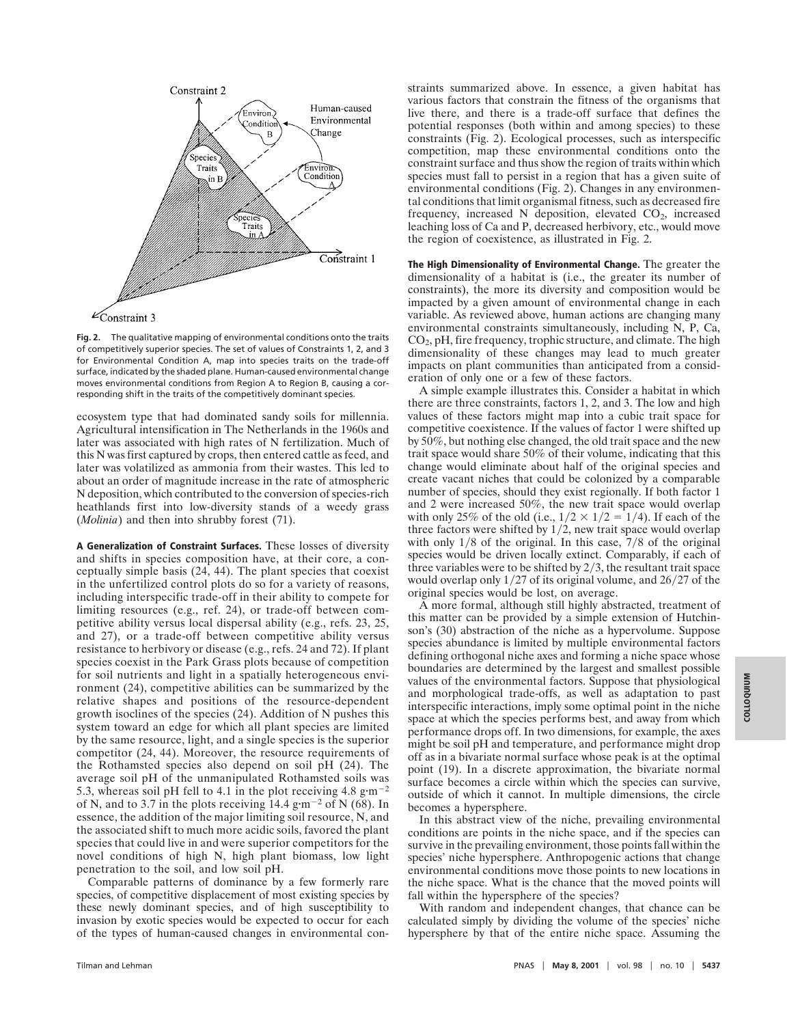

**Fig. 2.** The qualitative mapping of environmental conditions onto the traits of competitively superior species. The set of values of Constraints 1, 2, and 3 for Environmental Condition A, map into species traits on the trade-off surface, indicated by the shaded plane. Human-caused environmental change moves environmental conditions from Region A to Region B, causing a corresponding shift in the traits of the competitively dominant species.

ecosystem type that had dominated sandy soils for millennia. Agricultural intensification in The Netherlands in the 1960s and later was associated with high rates of N fertilization. Much of this N was first captured by crops, then entered cattle as feed, and later was volatilized as ammonia from their wastes. This led to about an order of magnitude increase in the rate of atmospheric N deposition, which contributed to the conversion of species-rich heathlands first into low-diversity stands of a weedy grass (*Molinia*) and then into shrubby forest (71).

**A Generalization of Constraint Surfaces.** These losses of diversity and shifts in species composition have, at their core, a conceptually simple basis (24, 44). The plant species that coexist in the unfertilized control plots do so for a variety of reasons, including interspecific trade-off in their ability to compete for limiting resources (e.g., ref. 24), or trade-off between competitive ability versus local dispersal ability (e.g., refs. 23, 25, and 27), or a trade-off between competitive ability versus resistance to herbivory or disease (e.g., refs. 24 and 72). If plant species coexist in the Park Grass plots because of competition for soil nutrients and light in a spatially heterogeneous environment (24), competitive abilities can be summarized by the relative shapes and positions of the resource-dependent growth isoclines of the species (24). Addition of N pushes this system toward an edge for which all plant species are limited by the same resource, light, and a single species is the superior competitor (24, 44). Moreover, the resource requirements of the Rothamsted species also depend on soil pH (24). The average soil pH of the unmanipulated Rothamsted soils was 5.3, whereas soil pH fell to 4.1 in the plot receiving  $4.8 \text{ g} \cdot \text{m}^{-2}$ of N, and to 3.7 in the plots receiving  $14.4 \text{ g} \cdot \text{m}^{-2}$  of N (68). In essence, the addition of the major limiting soil resource, N, and the associated shift to much more acidic soils, favored the plant species that could live in and were superior competitors for the novel conditions of high N, high plant biomass, low light penetration to the soil, and low soil pH.

Comparable patterns of dominance by a few formerly rare species, of competitive displacement of most existing species by these newly dominant species, and of high susceptibility to invasion by exotic species would be expected to occur for each of the types of human-caused changes in environmental constraints summarized above. In essence, a given habitat has various factors that constrain the fitness of the organisms that live there, and there is a trade-off surface that defines the potential responses (both within and among species) to these constraints (Fig. 2). Ecological processes, such as interspecific competition, map these environmental conditions onto the constraint surface and thus show the region of traits within which species must fall to persist in a region that has a given suite of environmental conditions (Fig. 2). Changes in any environmental conditions that limit organismal fitness, such as decreased fire frequency, increased N deposition, elevated  $CO<sub>2</sub>$ , increased leaching loss of Ca and P, decreased herbivory, etc., would move the region of coexistence, as illustrated in Fig. 2.

**The High Dimensionality of Environmental Change.** The greater the dimensionality of a habitat is (i.e., the greater its number of constraints), the more its diversity and composition would be impacted by a given amount of environmental change in each variable. As reviewed above, human actions are changing many environmental constraints simultaneously, including N, P, Ca, CO2, pH, fire frequency, trophic structure, and climate. The high dimensionality of these changes may lead to much greater impacts on plant communities than anticipated from a consideration of only one or a few of these factors.

A simple example illustrates this. Consider a habitat in which there are three constraints, factors 1, 2, and 3. The low and high values of these factors might map into a cubic trait space for competitive coexistence. If the values of factor 1 were shifted up by 50%, but nothing else changed, the old trait space and the new trait space would share 50% of their volume, indicating that this change would eliminate about half of the original species and create vacant niches that could be colonized by a comparable number of species, should they exist regionally. If both factor 1 and 2 were increased 50%, the new trait space would overlap with only 25% of the old (i.e.,  $1/2 \times 1/2 = 1/4$ ). If each of the three factors were shifted by  $1/2$ , new trait space would overlap with only  $1/8$  of the original. In this case,  $7/8$  of the original species would be driven locally extinct. Comparably, if each of three variables were to be shifted by  $2/3$ , the resultant trait space would overlap only  $1/27$  of its original volume, and  $26/27$  of the original species would be lost, on average.

A more formal, although still highly abstracted, treatment of this matter can be provided by a simple extension of Hutchinson's (30) abstraction of the niche as a hypervolume. Suppose species abundance is limited by multiple environmental factors defining orthogonal niche axes and forming a niche space whose boundaries are determined by the largest and smallest possible values of the environmental factors. Suppose that physiological and morphological trade-offs, as well as adaptation to past interspecific interactions, imply some optimal point in the niche space at which the species performs best, and away from which performance drops off. In two dimensions, for example, the axes might be soil pH and temperature, and performance might drop off as in a bivariate normal surface whose peak is at the optimal point (19). In a discrete approximation, the bivariate normal surface becomes a circle within which the species can survive, outside of which it cannot. In multiple dimensions, the circle becomes a hypersphere.

In this abstract view of the niche, prevailing environmental conditions are points in the niche space, and if the species can survive in the prevailing environment, those points fall within the species' niche hypersphere. Anthropogenic actions that change environmental conditions move those points to new locations in the niche space. What is the chance that the moved points will fall within the hypersphere of the species?

With random and independent changes, that chance can be calculated simply by dividing the volume of the species' niche hypersphere by that of the entire niche space. Assuming the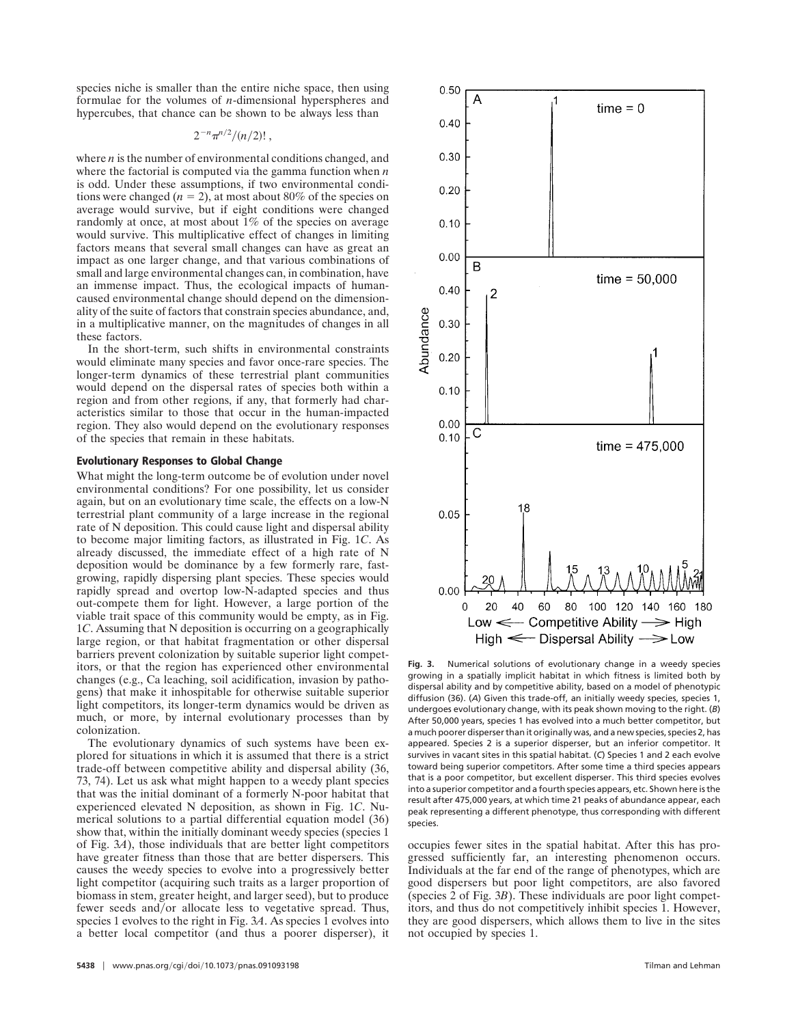species niche is smaller than the entire niche space, then using formulae for the volumes of *n*-dimensional hyperspheres and hypercubes, that chance can be shown to be always less than

$$
2^{-n}\pi^{n/2}/(n/2)!
$$

where *n* is the number of environmental conditions changed, and where the factorial is computed via the gamma function when *n* is odd. Under these assumptions, if two environmental conditions were changed  $(n = 2)$ , at most about 80% of the species on average would survive, but if eight conditions were changed randomly at once, at most about 1% of the species on average would survive. This multiplicative effect of changes in limiting factors means that several small changes can have as great an impact as one larger change, and that various combinations of small and large environmental changes can, in combination, have an immense impact. Thus, the ecological impacts of humancaused environmental change should depend on the dimensionality of the suite of factors that constrain species abundance, and, in a multiplicative manner, on the magnitudes of changes in all these factors.

In the short-term, such shifts in environmental constraints would eliminate many species and favor once-rare species. The longer-term dynamics of these terrestrial plant communities would depend on the dispersal rates of species both within a region and from other regions, if any, that formerly had characteristics similar to those that occur in the human-impacted region. They also would depend on the evolutionary responses of the species that remain in these habitats.

#### **Evolutionary Responses to Global Change**

What might the long-term outcome be of evolution under novel environmental conditions? For one possibility, let us consider again, but on an evolutionary time scale, the effects on a low-N terrestrial plant community of a large increase in the regional rate of N deposition. This could cause light and dispersal ability to become major limiting factors, as illustrated in Fig. 1*C*. As already discussed, the immediate effect of a high rate of N deposition would be dominance by a few formerly rare, fastgrowing, rapidly dispersing plant species. These species would rapidly spread and overtop low-N-adapted species and thus out-compete them for light. However, a large portion of the viable trait space of this community would be empty, as in Fig. 1*C*. Assuming that N deposition is occurring on a geographically large region, or that habitat fragmentation or other dispersal barriers prevent colonization by suitable superior light competitors, or that the region has experienced other environmental changes (e.g., Ca leaching, soil acidification, invasion by pathogens) that make it inhospitable for otherwise suitable superior light competitors, its longer-term dynamics would be driven as much, or more, by internal evolutionary processes than by colonization.

The evolutionary dynamics of such systems have been explored for situations in which it is assumed that there is a strict trade-off between competitive ability and dispersal ability (36, 73, 74). Let us ask what might happen to a weedy plant species that was the initial dominant of a formerly N-poor habitat that experienced elevated N deposition, as shown in Fig. 1*C*. Numerical solutions to a partial differential equation model (36) show that, within the initially dominant weedy species (species 1 of Fig. 3*A*), those individuals that are better light competitors have greater fitness than those that are better dispersers. This causes the weedy species to evolve into a progressively better light competitor (acquiring such traits as a larger proportion of biomass in stem, greater height, and larger seed), but to produce fewer seeds and/or allocate less to vegetative spread. Thus, species 1 evolves to the right in Fig. 3*A*. As species 1 evolves into a better local competitor (and thus a poorer disperser), it



1

 $0.50$ 

A

**Fig. 3.** Numerical solutions of evolutionary change in a weedy species growing in a spatially implicit habitat in which fitness is limited both by dispersal ability and by competitive ability, based on a model of phenotypic diffusion (36). (*A*) Given this trade-off, an initially weedy species, species 1, undergoes evolutionary change, with its peak shown moving to the right. (*B*) After 50,000 years, species 1 has evolved into a much better competitor, but a much poorer disperser than it originally was, and a new species, species 2, has appeared. Species 2 is a superior disperser, but an inferior competitor. It survives in vacant sites in this spatial habitat. (*C*) Species 1 and 2 each evolve toward being superior competitors. After some time a third species appears that is a poor competitor, but excellent disperser. This third species evolves into a superior competitor and a fourth species appears, etc. Shown here is the result after 475,000 years, at which time 21 peaks of abundance appear, each peak representing a different phenotype, thus corresponding with different species.

occupies fewer sites in the spatial habitat. After this has progressed sufficiently far, an interesting phenomenon occurs. Individuals at the far end of the range of phenotypes, which are good dispersers but poor light competitors, are also favored (species 2 of Fig. 3*B*). These individuals are poor light competitors, and thus do not competitively inhibit species 1. However, they are good dispersers, which allows them to live in the sites not occupied by species 1.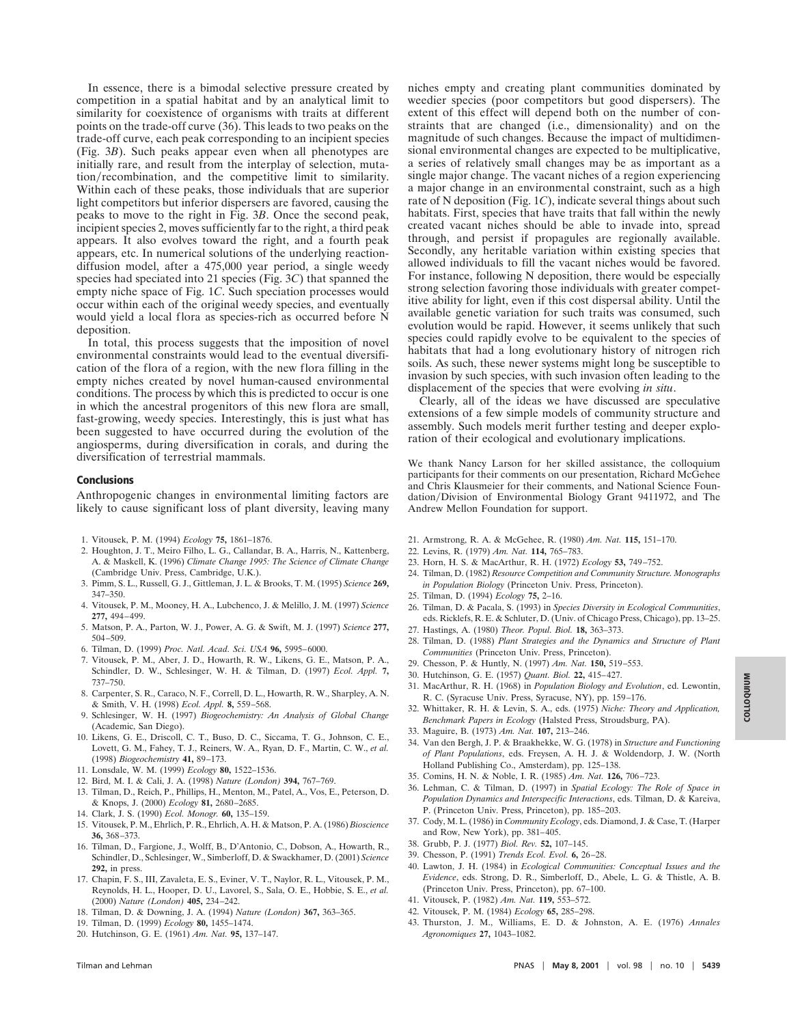In essence, there is a bimodal selective pressure created by competition in a spatial habitat and by an analytical limit to similarity for coexistence of organisms with traits at different points on the trade-off curve (36). This leads to two peaks on the trade-off curve, each peak corresponding to an incipient species (Fig. 3*B*). Such peaks appear even when all phenotypes are initially rare, and result from the interplay of selection, mutation/recombination, and the competitive limit to similarity. Within each of these peaks, those individuals that are superior light competitors but inferior dispersers are favored, causing the peaks to move to the right in Fig. 3*B*. Once the second peak, incipient species 2, moves sufficiently far to the right, a third peak appears. It also evolves toward the right, and a fourth peak appears, etc. In numerical solutions of the underlying reactiondiffusion model, after a 475,000 year period, a single weedy species had speciated into 21 species (Fig. 3*C*) that spanned the empty niche space of Fig. 1*C*. Such speciation processes would occur within each of the original weedy species, and eventually would yield a local flora as species-rich as occurred before N deposition.

In total, this process suggests that the imposition of novel environmental constraints would lead to the eventual diversification of the flora of a region, with the new flora filling in the empty niches created by novel human-caused environmental conditions. The process by which this is predicted to occur is one in which the ancestral progenitors of this new flora are small, fast-growing, weedy species. Interestingly, this is just what has been suggested to have occurred during the evolution of the angiosperms, during diversification in corals, and during the diversification of terrestrial mammals.

#### **Conclusions**

Anthropogenic changes in environmental limiting factors are likely to cause significant loss of plant diversity, leaving many

- 1. Vitousek, P. M. (1994) *Ecology* **75,** 1861–1876.
- 2. Houghton, J. T., Meiro Filho, L. G., Callandar, B. A., Harris, N., Kattenberg, A. & Maskell, K. (1996) *Climate Change 1995: The Science of Climate Change* (Cambridge Univ. Press, Cambridge, U.K.).
- 3. Pimm, S. L., Russell, G. J., Gittleman, J. L. & Brooks, T. M. (1995) *Science* **269,** 347–350.
- 4. Vitousek, P. M., Mooney, H. A., Lubchenco, J. & Melillo, J. M. (1997) *Science* **277,** 494–499.
- 5. Matson, P. A., Parton, W. J., Power, A. G. & Swift, M. J. (1997) *Science* **277,** 504–509.
- 6. Tilman, D. (1999) *Proc. Natl. Acad. Sci. USA* **96,** 5995–6000.
- 7. Vitousek, P. M., Aber, J. D., Howarth, R. W., Likens, G. E., Matson, P. A., Schindler, D. W., Schlesinger, W. H. & Tilman, D. (1997) *Ecol. Appl.* **7,** 737–750.
- 8. Carpenter, S. R., Caraco, N. F., Correll, D. L., Howarth, R. W., Sharpley, A. N. & Smith, V. H. (1998) *Ecol. Appl.* **8,** 559–568.
- 9. Schlesinger, W. H. (1997) *Biogeochemistry: An Analysis of Global Change* (Academic, San Diego).
- 10. Likens, G. E., Driscoll, C. T., Buso, D. C., Siccama, T. G., Johnson, C. E., Lovett, G. M., Fahey, T. J., Reiners, W. A., Ryan, D. F., Martin, C. W., *et al.* (1998) *Biogeochemistry* **41,** 89–173.
- 11. Lonsdale, W. M. (1999) *Ecology* **80,** 1522–1536.
- 12. Bird, M. I. & Cali, J. A. (1998) *Nature (London)* **394,** 767–769.
- 13. Tilman, D., Reich, P., Phillips, H., Menton, M., Patel, A., Vos, E., Peterson, D. & Knops, J. (2000) *Ecology* **81,** 2680–2685.
- 14. Clark, J. S. (1990) *Ecol. Monogr.* **60,** 135–159.
- 15. Vitousek, P. M., Ehrlich, P. R., Ehrlich, A. H. & Matson, P. A. (1986) *Bioscience* **36,** 368–373.
- 16. Tilman, D., Fargione, J., Wolff, B., D'Antonio, C., Dobson, A., Howarth, R., Schindler, D., Schlesinger, W., Simberloff, D. & Swackhamer, D. (2001) *Science* **292,** in press.
- 17. Chapin, F. S., III, Zavaleta, E. S., Eviner, V. T., Naylor, R. L., Vitousek, P. M., Reynolds, H. L., Hooper, D. U., Lavorel, S., Sala, O. E., Hobbie, S. E., *et al.* (2000) *Nature (London)* **405,** 234–242.
- 18. Tilman, D. & Downing, J. A. (1994) *Nature (London)* **367,** 363–365.
- 19. Tilman, D. (1999) *Ecology* **80,** 1455–1474.
- 20. Hutchinson, G. E. (1961) *Am. Nat.* **95,** 137–147.

niches empty and creating plant communities dominated by weedier species (poor competitors but good dispersers). The extent of this effect will depend both on the number of constraints that are changed (i.e., dimensionality) and on the magnitude of such changes. Because the impact of multidimensional environmental changes are expected to be multiplicative, a series of relatively small changes may be as important as a single major change. The vacant niches of a region experiencing a major change in an environmental constraint, such as a high rate of N deposition (Fig. 1*C*), indicate several things about such habitats. First, species that have traits that fall within the newly created vacant niches should be able to invade into, spread through, and persist if propagules are regionally available. Secondly, any heritable variation within existing species that allowed individuals to fill the vacant niches would be favored. For instance, following N deposition, there would be especially strong selection favoring those individuals with greater competitive ability for light, even if this cost dispersal ability. Until the available genetic variation for such traits was consumed, such evolution would be rapid. However, it seems unlikely that such species could rapidly evolve to be equivalent to the species of habitats that had a long evolutionary history of nitrogen rich soils. As such, these newer systems might long be susceptible to invasion by such species, with such invasion often leading to the displacement of the species that were evolving *in situ*.

Clearly, all of the ideas we have discussed are speculative extensions of a few simple models of community structure and assembly. Such models merit further testing and deeper exploration of their ecological and evolutionary implications.

We thank Nancy Larson for her skilled assistance, the colloquium participants for their comments on our presentation, Richard McGehee and Chris Klausmeier for their comments, and National Science Foundation/Division of Environmental Biology Grant 9411972, and The Andrew Mellon Foundation for support.

- 21. Armstrong, R. A. & McGehee, R. (1980) *Am. Nat.* **115,** 151–170.
- 22. Levins, R. (1979) *Am. Nat.* **114,** 765–783.
- 23. Horn, H. S. & MacArthur, R. H. (1972) *Ecology* **53,** 749–752.
- 24. Tilman, D. (1982) *Resource Competition and Community Structure. Monographs in Population Biology* (Princeton Univ. Press, Princeton).
- 25. Tilman, D. (1994) *Ecology* **75,** 2–16.
- 26. Tilman, D. & Pacala, S. (1993) in *Species Diversity in Ecological Communities*, eds. Ricklefs, R. E. & Schluter, D. (Univ. of Chicago Press, Chicago), pp. 13–25.
- 27. Hastings, A. (1980) *Theor. Popul. Biol.* **18,** 363–373.
- 28. Tilman, D. (1988) *Plant Strategies and the Dynamics and Structure of Plant Communities* (Princeton Univ. Press, Princeton).
- 29. Chesson, P. & Huntly, N. (1997) *Am. Nat.* **150,** 519–553.
- 30. Hutchinson, G. E. (1957) *Quant. Biol.* **22,** 415–427.
- 31. MacArthur, R. H. (1968) in *Population Biology and Evolution*, ed. Lewontin, R. C. (Syracuse Univ. Press, Syracuse, NY), pp. 159–176.
- 32. Whittaker, R. H. & Levin, S. A., eds. (1975) *Niche: Theory and Application, Benchmark Papers in Ecology* (Halsted Press, Stroudsburg, PA).
- 33. Maguire, B. (1973) *Am. Nat.* **107,** 213–246.
- 34. Van den Bergh, J. P. & Braakhekke, W. G. (1978) in *Structure and Functioning of Plant Populations*, eds. Freysen, A. H. J. & Woldendorp, J. W. (North Holland Publishing Co., Amsterdam), pp. 125–138.
- 35. Comins, H. N. & Noble, I. R. (1985) *Am. Nat.* **126,** 706–723.
- 36. Lehman, C. & Tilman, D. (1997) in *Spatial Ecology: The Role of Space in Population Dynamics and Interspecific Interactions*, eds. Tilman, D. & Kareiva, P. (Princeton Univ. Press, Princeton), pp. 185–203.
- 37. Cody, M. L. (1986) in *Community Ecology*, eds. Diamond, J. & Case, T. (Harper and Row, New York), pp. 381–405.
- 38. Grubb, P. J. (1977) *Biol. Rev.* **52,** 107–145.
- 39. Chesson, P. (1991) *Trends Ecol. Evol.* **6,** 26–28.
- 40. Lawton, J. H. (1984) in *Ecological Communities: Conceptual Issues and the Evidence*, eds. Strong, D. R., Simberloff, D., Abele, L. G. & Thistle, A. B. (Princeton Univ. Press, Princeton), pp. 67–100.
- 41. Vitousek, P. (1982) *Am. Nat.* **119,** 553–572.
- 42. Vitousek, P. M. (1984) *Ecology* **65,** 285–298.
- 43. Thurston, J. M., Williams, E. D. & Johnston, A. E. (1976) *Annales Agronomiques* **27,** 1043–1082.

**COLLOQUIUM**COLLOQUIUM